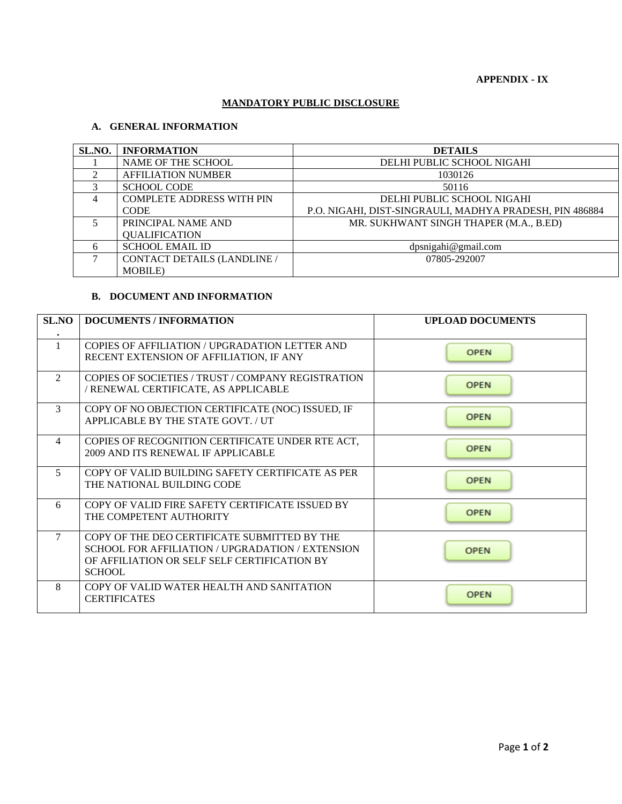#### **MANDATORY PUBLIC DISCLOSURE**

## **A. GENERAL INFORMATION**

| SL.NO.         | <b>INFORMATION</b>               | <b>DETAILS</b>                                          |
|----------------|----------------------------------|---------------------------------------------------------|
|                | NAME OF THE SCHOOL               | DELHI PUBLIC SCHOOL NIGAHI                              |
| 2              | <b>AFFILIATION NUMBER</b>        | 1030126                                                 |
| 3              | <b>SCHOOL CODE</b>               | 50116                                                   |
| $\overline{4}$ | <b>COMPLETE ADDRESS WITH PIN</b> | DELHI PUBLIC SCHOOL NIGAHI                              |
|                | <b>CODE</b>                      | P.O. NIGAHI, DIST-SINGRAULI, MADHYA PRADESH, PIN 486884 |
| $\sim$         | PRINCIPAL NAME AND               | MR. SUKHWANT SINGH THAPER (M.A., B.ED)                  |
|                | <b>QUALIFICATION</b>             |                                                         |
| 6              | <b>SCHOOL EMAIL ID</b>           | dpsnigahi@gmail.com                                     |
| 7              | CONTACT DETAILS (LANDLINE /      | 07805-292007                                            |
|                | <b>MOBILE</b> )                  |                                                         |

#### **B. DOCUMENT AND INFORMATION**

| <b>SL.NO</b>   | <b>DOCUMENTS / INFORMATION</b>                                                                                                                                    | <b>UPLOAD DOCUMENTS</b> |
|----------------|-------------------------------------------------------------------------------------------------------------------------------------------------------------------|-------------------------|
|                | COPIES OF AFFILIATION / UPGRADATION LETTER AND<br>RECENT EXTENSION OF AFFILIATION, IF ANY                                                                         | <b>OPEN</b>             |
| 2              | COPIES OF SOCIETIES / TRUST / COMPANY REGISTRATION<br>/ RENEWAL CERTIFICATE, AS APPLICABLE                                                                        | <b>OPEN</b>             |
| 3              | COPY OF NO OBJECTION CERTIFICATE (NOC) ISSUED, IF<br>APPLICABLE BY THE STATE GOVT. / UT                                                                           | <b>OPEN</b>             |
| $\overline{4}$ | COPIES OF RECOGNITION CERTIFICATE UNDER RTE ACT,<br>2009 AND ITS RENEWAL IF APPLICABLE                                                                            | <b>OPEN</b>             |
| 5              | COPY OF VALID BUILDING SAFETY CERTIFICATE AS PER<br>THE NATIONAL BUILDING CODE                                                                                    | <b>OPEN</b>             |
| 6              | COPY OF VALID FIRE SAFETY CERTIFICATE ISSUED BY<br>THE COMPETENT AUTHORITY                                                                                        | <b>OPEN</b>             |
| 7              | COPY OF THE DEO CERTIFICATE SUBMITTED BY THE<br>SCHOOL FOR AFFILIATION / UPGRADATION / EXTENSION<br>OF AFFILIATION OR SELF SELF CERTIFICATION BY<br><b>SCHOOL</b> | <b>OPEN</b>             |
| 8              | COPY OF VALID WATER HEALTH AND SANITATION<br><b>CERTIFICATES</b>                                                                                                  | <b>OPEN</b>             |